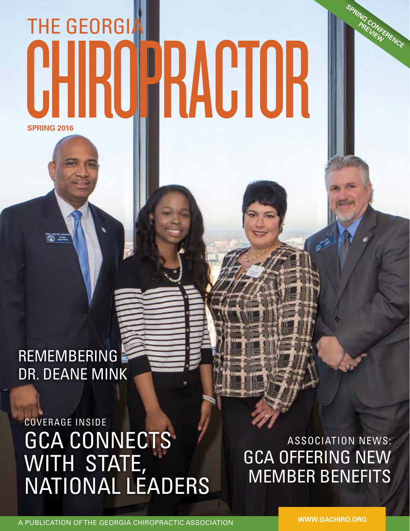## **SPRING 2016** THE GEORGIA CHIROPRACTOR

REMEMBERING DR. DEANE MINK

 $\overline{\infty}$  .

COVERAGE INSIDE GCA CONNECTS WITH STATE, NATIONAL LEADERS

ASSOCIATION NEWS: GCA OFFERING NEW MEMBER BENEFITS

A PUBLICATION OF THE GEORGIA CHIROPRACTIC ASSOCIATION

**WWW.GACHIRO.ORG**

**SPRING CONFERENCE PREVIEWE**